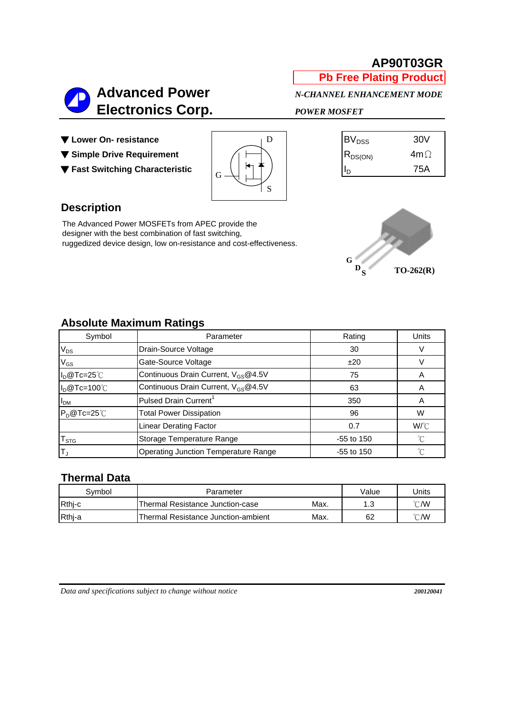## **AP90T03GR**

**Pb Free Plating Product**



▼ Lower On- resistance

- ▼ Simple Drive Requirement
- ▼ Fast Switching Characteristic



| $\mathsf{BV}_{\texttt{DSS}}$ | 30V        |
|------------------------------|------------|
| $ R_{DS(ON)}$                | $4m\Omega$ |
|                              | 75A        |

### **Description**

The Advanced Power MOSFETs from APEC provide the designer with the best combination of fast switching, ruggedized device design, low on-resistance and cost-effectiveness.



## **Absolute Maximum Ratings**

| Symbol                      | Parameter                                             | Rating       | <b>Units</b> |
|-----------------------------|-------------------------------------------------------|--------------|--------------|
| $\mathsf{V}_{\mathsf{DS}}$  | Drain-Source Voltage                                  | 30           |              |
| $\mathsf{V}_{\mathsf{GS}}$  | Gate-Source Voltage                                   | ±20          |              |
| $I_D@Tc=25°C$               | Continuous Drain Current, V <sub>GS</sub> @4.5V       | 75           |              |
| $I_D@Tc=100°C$              | Continuous Drain Current, V <sub>GS</sub> @4.5V<br>63 |              | A            |
| <b>I</b> <sub>DM</sub>      | Pulsed Drain Current <sup>1</sup>                     | 350          |              |
| $P_D@Tc=25^\circ C$         | <b>Total Power Dissipation</b>                        | 96           | W            |
|                             | <b>Linear Derating Factor</b>                         | 0.7          | $W^{\circ}C$ |
| $\mathsf{T}_{\texttt{STG}}$ | Storage Temperature Range                             | $-55$ to 150 | $^{\circ}$ C |
| T,                          | <b>Operating Junction Temperature Range</b>           | $-55$ to 150 | °C           |

#### **Thermal Data**

| Svmbol | Parameter                                   | Value   | Units |  |
|--------|---------------------------------------------|---------|-------|--|
| Rthj-c | Max.<br>Thermal Resistance Junction-case    | 12<br>… | °C/W  |  |
| Rthj-a | Max.<br>Thermal Resistance Junction-ambient | 62      | °C/W  |  |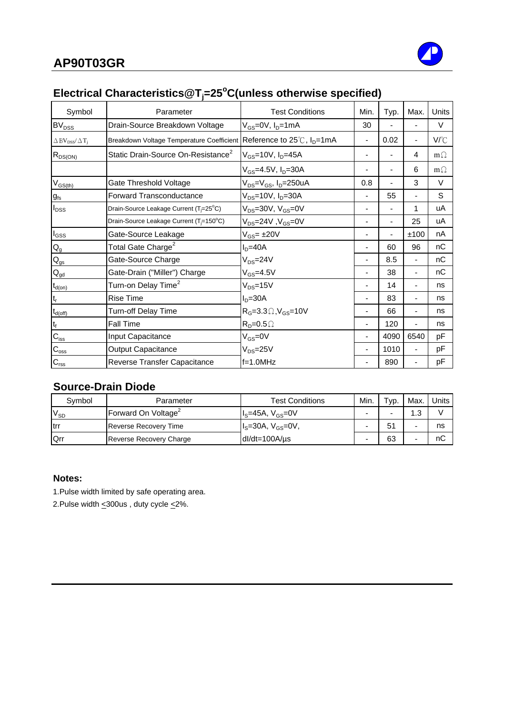# **Electrical Characteristics@Tj =25<sup>o</sup> C(unless otherwise specified)**

| Symbol                                               | Parameter                                                                       | <b>Test Conditions</b>                                   | Min.                     | Typ. | Max.                     | Units     |
|------------------------------------------------------|---------------------------------------------------------------------------------|----------------------------------------------------------|--------------------------|------|--------------------------|-----------|
| <b>BV<sub>DSS</sub></b>                              | Drain-Source Breakdown Voltage                                                  | $V_{GS}=$ 0V, $I_D=1$ mA                                 | 30                       |      |                          | V         |
| $\Delta$ BV <sub>DSS</sub> / $\Delta$ T <sub>j</sub> | Breakdown Voltage Temperature Coefficient Reference to 25℃, I <sub>D</sub> =1mA |                                                          | $\overline{\phantom{0}}$ | 0.02 | $\overline{\phantom{0}}$ | V/°C      |
| $R_{DS(ON)}$                                         | Static Drain-Source On-Resistance <sup>2</sup>                                  | $V_{GS}$ =10V, $I_{D}$ =45A                              |                          |      | 4                        | $m\Omega$ |
|                                                      |                                                                                 | $V_{GS}$ =4.5V, $I_D$ =30A                               |                          |      | 6                        | $m\Omega$ |
| $V_{GS(th)}$                                         | Gate Threshold Voltage                                                          | V <sub>DS</sub> =V <sub>GS</sub> , I <sub>D</sub> =250uA | 0.8                      |      | 3                        | $\vee$    |
| $g_{\rm fs}$                                         | Forward Transconductance                                                        | $V_{DS}$ =10V, $I_D$ =30A                                | $\blacksquare$           | 55   | $\overline{\phantom{0}}$ | S         |
| $I_{DSS}$                                            | Drain-Source Leakage Current (T <sub>i</sub> =25°C)                             | $V_{DS}$ =30V, $V_{GS}$ =0V                              |                          |      | 1                        | uA        |
|                                                      | Drain-Source Leakage Current (T <sub>i</sub> =150°C)                            | $V_{DS}$ =24V, $V_{GS}$ =0V                              |                          |      | 25                       | uA        |
| $I_{GSS}$                                            | Gate-Source Leakage                                                             | $V_{GS} = \pm 20V$                                       |                          |      | ±100                     | nA        |
| $\mathsf{Q}_{\mathsf{g}}$                            | Total Gate Charge <sup>2</sup>                                                  | $ID=40A$                                                 |                          | 60   | 96                       | nC        |
| $\mathsf{Q}_{\mathsf{gs}}$                           | Gate-Source Charge                                                              | $V_{DS} = 24V$                                           |                          | 8.5  | $\blacksquare$           | nC        |
| $\mathbf{Q}_{\text{gd}}$                             | Gate-Drain ("Miller") Charge                                                    | $V_{GS} = 4.5V$                                          |                          | 38   | ÷.                       | nC        |
| $t_{d(on)}$                                          | Turn-on Delay Time <sup>2</sup>                                                 | $V_{DS} = 15V$                                           |                          | 14   |                          | ns        |
| $\mathfrak{t}_{\mathsf{r}}$                          | <b>Rise Time</b>                                                                | $ID=30A$                                                 |                          | 83   |                          | ns        |
| $t_{d(off)}$                                         | Turn-off Delay Time                                                             | $R_G = 3.3 \Omega$ , $V_{GS} = 10V$                      |                          | 66   |                          | ns        |
| $\mathfrak{t}_{\mathsf{f}}$                          | <b>Fall Time</b>                                                                | $R_p = 0.5 \Omega$                                       |                          | 120  |                          | ns        |
| $C_{\text{iss}}$                                     | Input Capacitance                                                               | $V_{GS} = 0V$                                            |                          | 4090 | 6540                     | pF        |
| $C_{\rm{oss}}$                                       | Output Capacitance                                                              | $V_{DS} = 25V$                                           | $\overline{\phantom{a}}$ | 1010 | $\blacksquare$           | pF        |
| $C_{\text{rss}}$                                     | Reverse Transfer Capacitance                                                    | $f=1.0$ MHz                                              |                          | 890  |                          | pF        |

### **Source-Drain Diode**

| Symbol      | Parameter                       | <b>Test Conditions</b>    | Min. | $TVP$ . | Max. | Units |
|-------------|---------------------------------|---------------------------|------|---------|------|-------|
| $V_{SD}$    | Forward On Voltage <sup>2</sup> | $IS=45A, VGS=0V$          |      | -       | 1.3  |       |
| <b>Itrr</b> | <b>Reverse Recovery Time</b>    | $I_s = 30A, V_{GS} = 0V,$ |      |         |      | ns    |
| Qrr         | Reverse Recovery Charge         | $dl/dt = 100A/\mu s$      |      | 63      |      | nС    |

#### **Notes:**

1.Pulse width limited by safe operating area.

2.Pulse width  $\leq$ 300us, duty cycle  $\leq$ 2%.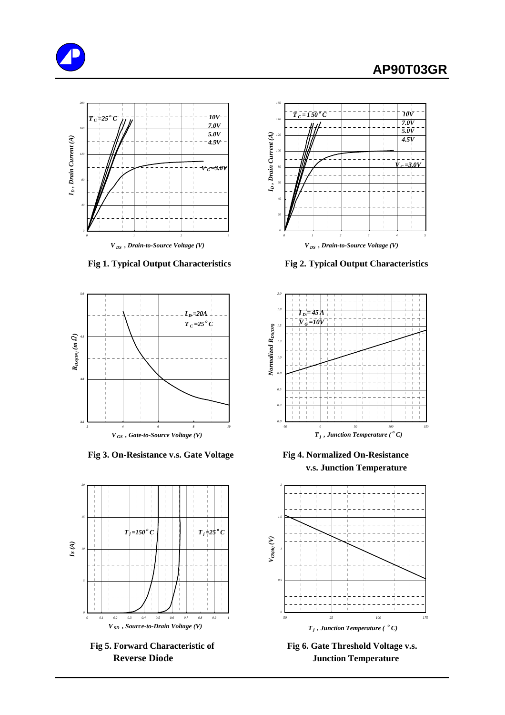# **AP90T03GR**







 **Fig 3. On-Resistance v.s. Gate Voltage Fig 4. Normalized On-Resistance**



Fig 5. Forward Characteristic of Fig 6. Gate Threshold Voltage v.s.



 **Fig 1. Typical Output Characteristics Fig 2. Typical Output Characteristics**



**v.s. Junction Temperature**



**Reverse Diode Junction Temperature**